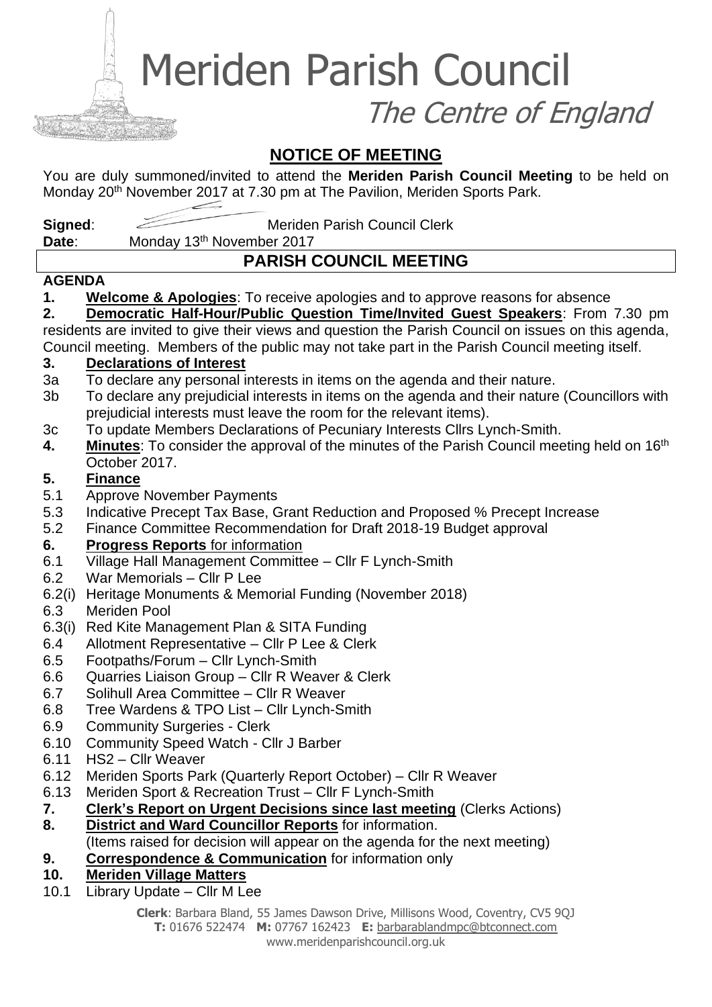Meriden Parish Council

The Centre of England

# **NOTICE OF MEETING**

You are duly summoned/invited to attend the **Meriden Parish Council Meeting** to be held on Monday 20<sup>th</sup> November 2017 at 7.30 pm at The Pavilion, Meriden Sports Park.

**Signed:** Meriden Parish Council Clerk

**Date:** Monday 13<sup>th</sup> November 2017

# **PARISH COUNCIL MEETING**

#### **AGENDA**

**1. Welcome & Apologies**: To receive apologies and to approve reasons for absence

**2. Democratic Half-Hour/Public Question Time/Invited Guest Speakers**: From 7.30 pm residents are invited to give their views and question the Parish Council on issues on this agenda, Council meeting. Members of the public may not take part in the Parish Council meeting itself.

### **3. Declarations of Interest**

- 3a To declare any personal interests in items on the agenda and their nature.
- 3b To declare any prejudicial interests in items on the agenda and their nature (Councillors with prejudicial interests must leave the room for the relevant items).
- 3c To update Members Declarations of Pecuniary Interests Cllrs Lynch-Smith.
- **4.** Minutes: To consider the approval of the minutes of the Parish Council meeting held on 16<sup>th</sup> October 2017.

### **5. Finance**

- 5.1 Approve November Payments
- 5.3 Indicative Precept Tax Base, Grant Reduction and Proposed % Precept Increase
- 5.2 Finance Committee Recommendation for Draft 2018-19 Budget approval

## **6. Progress Reports** for information

- 6.1 Village Hall Management Committee Cllr F Lynch-Smith
- 6.2 War Memorials Cllr P Lee
- 6.2(i) Heritage Monuments & Memorial Funding (November 2018)
- 6.3 Meriden Pool
- 6.3(i) Red Kite Management Plan & SITA Funding
- 6.4 Allotment Representative Cllr P Lee & Clerk
- 6.5 Footpaths/Forum Cllr Lynch-Smith
- 6.6 Quarries Liaison Group Cllr R Weaver & Clerk
- 6.7 Solihull Area Committee Cllr R Weaver
- 6.8 Tree Wardens & TPO List Cllr Lynch-Smith
- 6.9 Community Surgeries Clerk
- 6.10 Community Speed Watch Cllr J Barber
- 6.11 HS2 Cllr Weaver
- 6.12 Meriden Sports Park (Quarterly Report October) Cllr R Weaver
- 6.13 Meriden Sport & Recreation Trust Cllr F Lynch-Smith
- **7. Clerk's Report on Urgent Decisions since last meeting** (Clerks Actions)
- **8. District and Ward Councillor Reports** for information.
- (Items raised for decision will appear on the agenda for the next meeting)
- **9. Correspondence & Communication** for information only
- **10. Meriden Village Matters**
- 10.1 Library Update Cllr M Lee